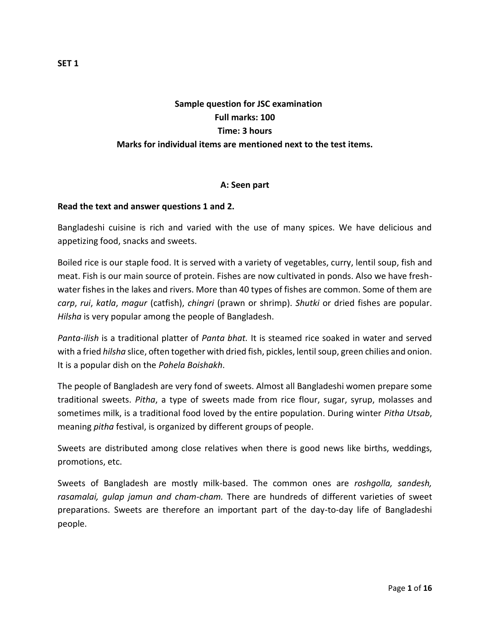# **Sample question for JSC examination Full marks: 100 Time: 3 hours Marks for individual items are mentioned next to the test items.**

## **A: Seen part**

### **Read the text and answer questions 1 and 2.**

Bangladeshi cuisine is rich and varied with the use of many spices. We have delicious and appetizing food, snacks and sweets.

Boiled rice is our staple food. It is served with a variety of vegetables, curry, lentil soup, fish and meat. Fish is our main source of protein. Fishes are now cultivated in ponds. Also we have freshwater fishes in the lakes and rivers. More than 40 types of fishes are common. Some of them are *carp*, *rui*, *katla*, *magur* (catfish), *chingri* (prawn or shrimp). *Shutki* or dried fishes are popular. *Hilsha* is very popular among the people of Bangladesh.

*Panta-ilish* is a traditional platter of *Panta bhat.* It is steamed rice soaked in water and served with a fried *hilsha* slice, often together with dried fish, pickles, lentil soup, green chilies and onion. It is a popular dish on the *Pohela Boishakh*.

The people of Bangladesh are very fond of sweets. Almost all Bangladeshi women prepare some traditional sweets. *Pitha*, a type of sweets made from rice flour, sugar, syrup, molasses and sometimes milk, is a traditional food loved by the entire population. During winter *Pitha Utsab*, meaning *pitha* festival, is organized by different groups of people.

Sweets are distributed among close relatives when there is good news like births, weddings, promotions, etc.

Sweets of Bangladesh are mostly milk-based. The common ones are *roshgolla, sandesh, rasamalai, gulap jamun and cham-cham.* There are hundreds of different varieties of sweet preparations. Sweets are therefore an important part of the day-to-day life of Bangladeshi people.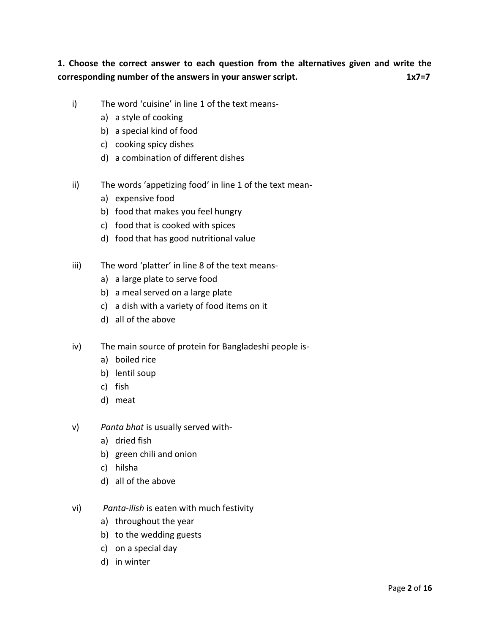**1. Choose the correct answer to each question from the alternatives given and write the corresponding number of the answers in your answer script.** 1x7=7

- i) The word 'cuisine' in line 1 of the text means
	- a) a style of cooking
	- b) a special kind of food
	- c) cooking spicy dishes
	- d) a combination of different dishes
- ii) The words 'appetizing food' in line 1 of the text mean
	- a) expensive food
	- b) food that makes you feel hungry
	- c) food that is cooked with spices
	- d) food that has good nutritional value
- iii) The word 'platter' in line 8 of the text means
	- a) a large plate to serve food
	- b) a meal served on a large plate
	- c) a dish with a variety of food items on it
	- d) all of the above
- iv) The main source of protein for Bangladeshi people is
	- a) boiled rice
	- b) lentil soup
	- c) fish
	- d) meat
- v) *Panta bhat* is usually served with
	- a) dried fish
	- b) green chili and onion
	- c) hilsha
	- d) all of the above
- vi) *Panta-ilish* is eaten with much festivity
	- a) throughout the year
	- b) to the wedding guests
	- c) on a special day
	- d) in winter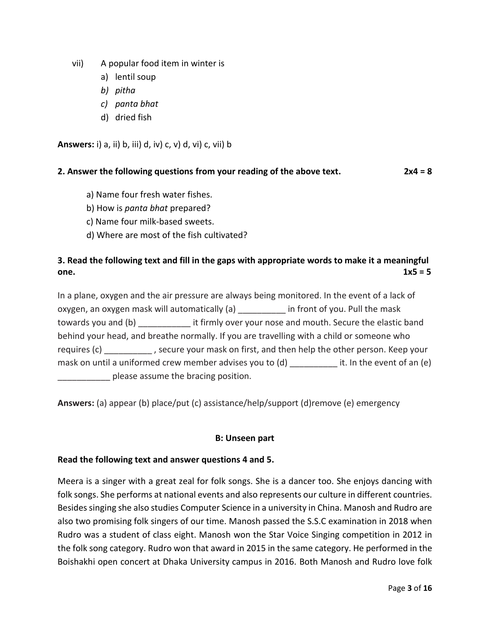- vii) A popular food item in winter is
	- a) lentil soup
	- *b) pitha*
	- *c) panta bhat*
	- d) dried fish

**Answers:** i) a, ii) b, iii) d, iv) c, v) d, vi) c, vii) b

## **2. Answer the following questions from your reading of the above text. 2x4 = 8**

- a) Name four fresh water fishes.
- b) How is *panta bhat* prepared?
- c) Name four milk-based sweets.
- d) Where are most of the fish cultivated?

## **3. Read the following text and fill in the gaps with appropriate words to make it a meaningful one.**  $1x5 = 5$

In a plane, oxygen and the air pressure are always being monitored. In the event of a lack of oxygen, an oxygen mask will automatically (a) \_\_\_\_\_\_\_\_\_\_ in front of you. Pull the mask towards you and (b) **Example 20** it firmly over your nose and mouth. Secure the elastic band behind your head, and breathe normally. If you are travelling with a child or someone who requires (c) \_\_\_\_\_\_\_\_\_\_, secure your mask on first, and then help the other person. Keep your mask on until a uniformed crew member advises you to  $(d)$  it. In the event of an  $(e)$ **EXECUTE:** please assume the bracing position.

**Answers:** (a) appear (b) place/put (c) assistance/help/support (d)remove (e) emergency

## **B: Unseen part**

## **Read the following text and answer questions 4 and 5.**

Meera is a singer with a great zeal for folk songs. She is a dancer too. She enjoys dancing with folk songs. She performs at national events and also represents our culture in different countries. Besides singing she also studies Computer Science in a university in China. Manosh and Rudro are also two promising folk singers of our time. Manosh passed the S.S.C examination in 2018 when Rudro was a student of class eight. Manosh won the Star Voice Singing competition in 2012 in the folk song category. Rudro won that award in 2015 in the same category. He performed in the Boishakhi open concert at Dhaka University campus in 2016. Both Manosh and Rudro love folk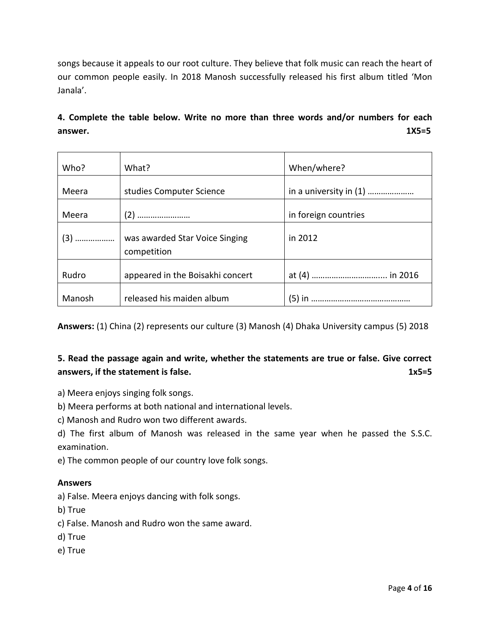songs because it appeals to our root culture. They believe that folk music can reach the heart of our common people easily. In 2018 Manosh successfully released his first album titled 'Mon Janala'.

**4. Complete the table below. Write no more than three words and/or numbers for each answer. 1X5=5**

| Who?   | What?                                         | When/where?            |
|--------|-----------------------------------------------|------------------------|
| Meera  | studies Computer Science                      | in a university in (1) |
| Meera  |                                               | in foreign countries   |
|        | was awarded Star Voice Singing<br>competition | in 2012                |
| Rudro  | appeared in the Boisakhi concert              |                        |
| Manosh | released his maiden album                     | (5) in                 |

**Answers:** (1) China (2) represents our culture (3) Manosh (4) Dhaka University campus (5) 2018

## **5. Read the passage again and write, whether the statements are true or false. Give correct answers, if the statement is false.** 1x5=5 **1x5**=5

a) Meera enjoys singing folk songs.

b) Meera performs at both national and international levels.

c) Manosh and Rudro won two different awards.

d) The first album of Manosh was released in the same year when he passed the S.S.C. examination.

e) The common people of our country love folk songs.

## **Answers**

a) False. Meera enjoys dancing with folk songs.

b) True

c) False. Manosh and Rudro won the same award.

- d) True
- e) True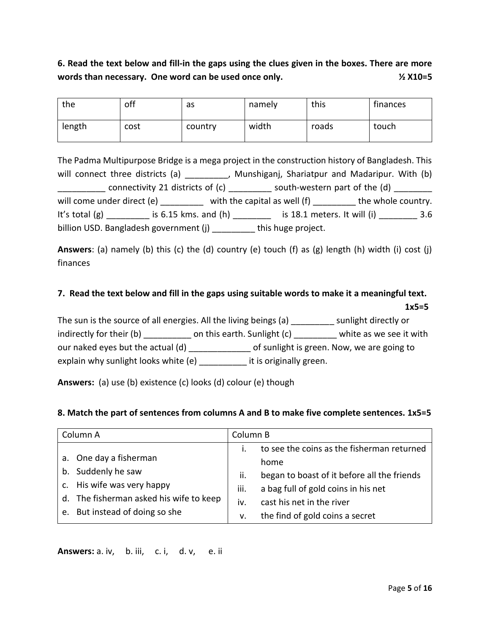# **6. Read the text below and fill-in the gaps using the clues given in the boxes. There are more words than necessary. One word can be used once only. ½ X10=5**

| the    | off  | as      | namely | this  | finances |
|--------|------|---------|--------|-------|----------|
| length | cost | country | width  | roads | touch    |

The Padma Multipurpose Bridge is a mega project in the construction history of Bangladesh. This will connect three districts (a) \_\_\_\_\_\_\_\_\_, Munshiganj, Shariatpur and Madaripur. With (b)  $\frac{1}{2}$  connectivity 21 districts of (c)  $\frac{1}{2}$  south-western part of the (d)  $\frac{1}{2}$ will come under direct (e) \_\_\_\_\_\_\_\_\_ with the capital as well (f) \_\_\_\_\_\_\_\_\_ the whole country. It's total (g) \_\_\_\_\_\_\_\_\_\_ is 6.15 kms. and (h) \_\_\_\_\_\_\_\_\_ is 18.1 meters. It will (i) \_\_\_\_\_\_\_\_ 3.6 billion USD. Bangladesh government (j) \_\_\_\_\_\_\_\_\_ this huge project.

**Answers**: (a) namely (b) this (c) the (d) country (e) touch (f) as (g) length (h) width (i) cost (j) finances

# **7. Read the text below and fill in the gaps using suitable words to make it a meaningful text. 1x5=5**

The sun is the source of all energies. All the living beings (a) \_\_\_\_\_\_\_\_\_ sunlight directly or indirectly for their (b) \_\_\_\_\_\_\_\_\_\_ on this earth. Sunlight (c) \_\_\_\_\_\_\_\_\_ white as we see it with our naked eyes but the actual (d)  $\qquad \qquad$  of sunlight is green. Now, we are going to explain why sunlight looks white (e) \_\_\_\_\_\_\_\_\_\_ it is originally green.

**Answers:** (a) use (b) existence (c) looks (d) colour (e) though

## **8. Match the part of sentences from columns A and B to make five complete sentences. 1x5=5**

| Column A |                                                                       | Column B           |                                                                                                                 |  |
|----------|-----------------------------------------------------------------------|--------------------|-----------------------------------------------------------------------------------------------------------------|--|
|          | a. One day a fisherman<br>b. Suddenly he saw                          | İ.                 | to see the coins as the fisherman returned<br>home                                                              |  |
|          | c. His wife was very happy<br>d. The fisherman asked his wife to keep | ii.<br>iii.<br>iv. | began to boast of it before all the friends<br>a bag full of gold coins in his net<br>cast his net in the river |  |
|          | e. But instead of doing so she                                        | v.                 | the find of gold coins a secret                                                                                 |  |

**Answers:** a. iv, b. iii, c. i, d. v, e. ii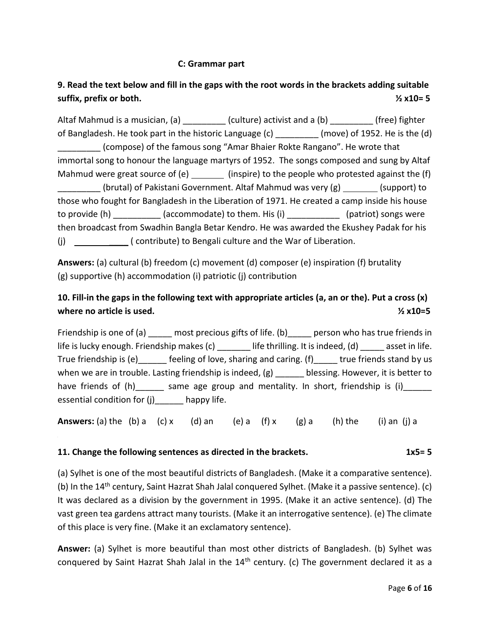## **C: Grammar part**

# **9. Read the text below and fill in the gaps with the root words in the brackets adding suitable suffix, prefix or both. ½ x10= 5**

Altaf Mahmud is a musician, (a)  $\qquad \qquad$  (culture) activist and a (b)  $\qquad \qquad$  (free) fighter of Bangladesh. He took part in the historic Language (c) \_\_\_\_\_\_\_\_\_ (move) of 1952. He is the (d) \_\_\_\_\_\_\_\_\_ (compose) of the famous song "Amar Bhaier Rokte Rangano". He wrote that immortal song to honour the language martyrs of 1952. The songs composed and sung by Altaf Mahmud were great source of (e)  $\qquad (inspire)$  to the people who protested against the (f) (brutal) of Pakistani Government. Altaf Mahmud was very (g) \_\_\_\_\_\_\_\_(support) to those who fought for Bangladesh in the Liberation of 1971. He created a camp inside his house to provide (h) \_\_\_\_\_\_\_\_\_\_\_ (accommodate) to them. His (i) \_\_\_\_\_\_\_\_\_\_\_\_\_\_ (patriot) songs were then broadcast from Swadhin Bangla Betar Kendro. He was awarded the Ekushey Padak for his (j) \_\_\_\_ ( contribute) to Bengali culture and the War of Liberation.

**Answers:** (a) cultural (b) freedom (c) movement (d) composer (e) inspiration (f) brutality (g) supportive (h) accommodation (i) patriotic (j) contribution

## **10. Fill-in the gaps in the following text with appropriate articles (a, an or the). Put a cross (x) where no article is used. ½ x10=5**

Friendship is one of (a) \_\_\_\_\_ most precious gifts of life. (b) \_\_\_\_\_ person who has true friends in life is lucky enough. Friendship makes (c) \_\_\_\_\_\_\_ life thrilling. It is indeed, (d) \_\_\_\_\_ asset in life. True friendship is (e) \_\_\_\_\_\_ feeling of love, sharing and caring. (f) \_\_\_\_\_ true friends stand by us when we are in trouble. Lasting friendship is indeed, (g) \_\_\_\_\_\_ blessing. However, it is better to have friends of (h) \_\_\_\_\_\_ same age group and mentality. In short, friendship is (i) \_\_\_\_\_\_ essential condition for (j) happy life.

**Answers:** (a) the (b) a (c) x (d) an (e) a (f) x (g) a (h) the (i) an (j) a

## **11. Change the following sentences as directed in the brackets. 1x5= 5 1x5= 5**

(a) Sylhet is one of the most beautiful districts of Bangladesh. (Make it a comparative sentence). (b) In the  $14<sup>th</sup>$  century, Saint Hazrat Shah Jalal conquered Sylhet. (Make it a passive sentence). (c) It was declared as a division by the government in 1995. (Make it an active sentence). (d) The vast green tea gardens attract many tourists. (Make it an interrogative sentence). (e) The climate of this place is very fine. (Make it an exclamatory sentence).

**Answer:** (a) Sylhet is more beautiful than most other districts of Bangladesh. (b) Sylhet was conquered by Saint Hazrat Shah Jalal in the  $14<sup>th</sup>$  century. (c) The government declared it as a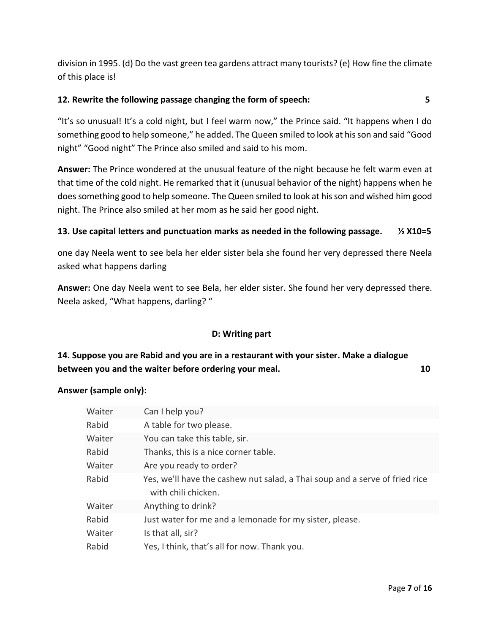division in 1995. (d) Do the vast green tea gardens attract many tourists? (e) How fine the climate of this place is!

## **12. Rewrite the following passage changing the form of speech: 5**

"It's so unusual! It's a cold night, but I feel warm now," the Prince said. "It happens when I do something good to help someone," he added. The Queen smiled to look at his son and said "Good night" "Good night" The Prince also smiled and said to his mom.

**Answer:** The Prince wondered at the unusual feature of the night because he felt warm even at that time of the cold night. He remarked that it (unusual behavior of the night) happens when he doessomething good to help someone. The Queen smiled to look at his son and wished him good night. The Prince also smiled at her mom as he said her good night.

## **13. Use capital letters and punctuation marks as needed in the following passage. ½ X10=5**

one day Neela went to see bela her elder sister bela she found her very depressed there Neela asked what happens darling

**Answer:** One day Neela went to see Bela, her elder sister. She found her very depressed there. Neela asked, "What happens, darling? "

## **D: Writing part**

# **14. Suppose you are Rabid and you are in a restaurant with your sister. Make a dialogue between you and the waiter before ordering your meal. 10**

## **Answer (sample only):**

| Waiter | Can I help you?                                                             |
|--------|-----------------------------------------------------------------------------|
| Rabid  | A table for two please.                                                     |
| Waiter | You can take this table, sir.                                               |
| Rabid  | Thanks, this is a nice corner table.                                        |
| Waiter | Are you ready to order?                                                     |
| Rabid  | Yes, we'll have the cashew nut salad, a Thai soup and a serve of fried rice |
|        | with chili chicken.                                                         |
| Waiter | Anything to drink?                                                          |
| Rabid  | Just water for me and a lemonade for my sister, please.                     |
| Waiter | Is that all, sir?                                                           |
| Rabid  | Yes, I think, that's all for now. Thank you.                                |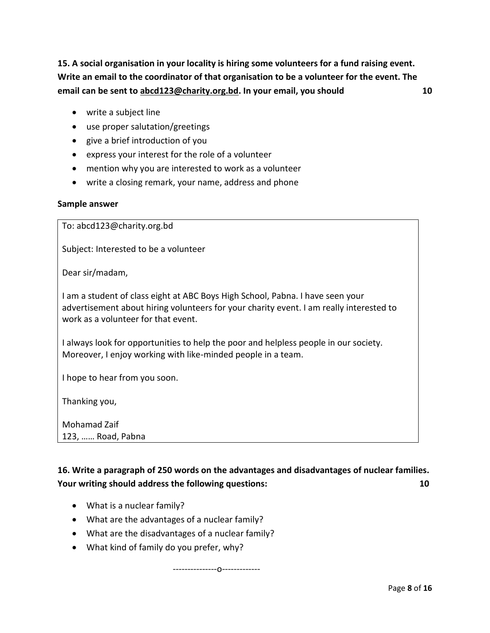**15. A social organisation in your locality is hiring some volunteers for a fund raising event. Write an email to the coordinator of that organisation to be a volunteer for the event. The email can be sent to [abcd123@charity.org.bd.](mailto:abcd123@charity.org.bd) In your email, you should 10** 

- write a subject line
- use proper salutation/greetings
- give a brief introduction of you
- express your interest for the role of a volunteer
- mention why you are interested to work as a volunteer
- write a closing remark, your name, address and phone

#### **Sample answer**

To: [abcd123@charity.org.bd](mailto:abcd123@charity.org.bd)

Subject: Interested to be a volunteer

Dear sir/madam,

I am a student of class eight at ABC Boys High School, Pabna. I have seen your advertisement about hiring volunteers for your charity event. I am really interested to work as a volunteer for that event.

I always look for opportunities to help the poor and helpless people in our society. Moreover, I enjoy working with like-minded people in a team.

I hope to hear from you soon.

Thanking you,

Mohamad Zaif 123, …… Road, Pabna

**16. Write a paragraph of 250 words on the advantages and disadvantages of nuclear families. Your writing should address the following questions: 10** 

- What is a nuclear family?
- What are the advantages of a nuclear family?
- What are the disadvantages of a nuclear family?
- What kind of family do you prefer, why?

---------------o-------------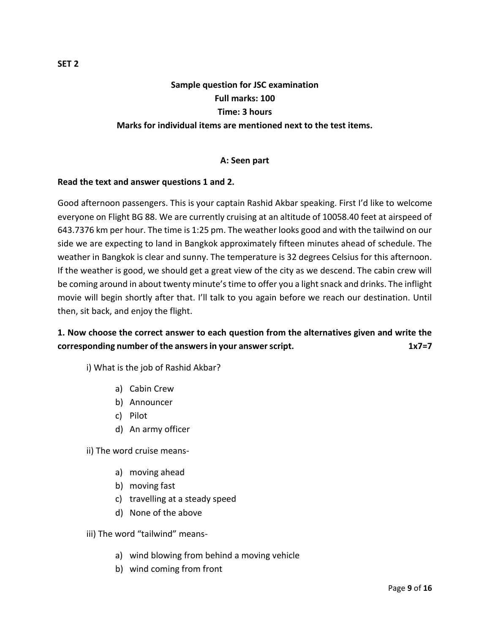# **Sample question for JSC examination Full marks: 100 Time: 3 hours Marks for individual items are mentioned next to the test items.**

## **A: Seen part**

## **Read the text and answer questions 1 and 2.**

Good afternoon passengers. This is your captain Rashid Akbar speaking. First I'd like to welcome everyone on Flight BG 88. We are currently cruising at an altitude of 10058.40 feet at airspeed of 643.7376 km per hour. The time is 1:25 pm. The weather looks good and with the tailwind on our side we are expecting to land in Bangkok approximately fifteen minutes ahead of schedule. The weather in Bangkok is clear and sunny. The temperature is 32 degrees Celsius for this afternoon. If the weather is good, we should get a great view of the city as we descend. The cabin crew will be coming around in about twenty minute's time to offer you a light snack and drinks. The inflight movie will begin shortly after that. I'll talk to you again before we reach our destination. Until then, sit back, and enjoy the flight.

## **1. Now choose the correct answer to each question from the alternatives given and write the corresponding number of the answers in your answer script. 1x7=7**

i) What is the job of Rashid Akbar?

- a) Cabin Crew
- b) Announcer
- c) Pilot
- d) An army officer

ii) The word cruise means-

- a) moving ahead
- b) moving fast
- c) travelling at a steady speed
- d) None of the above

iii) The word "tailwind" means-

- a) wind blowing from behind a moving vehicle
- b) wind coming from front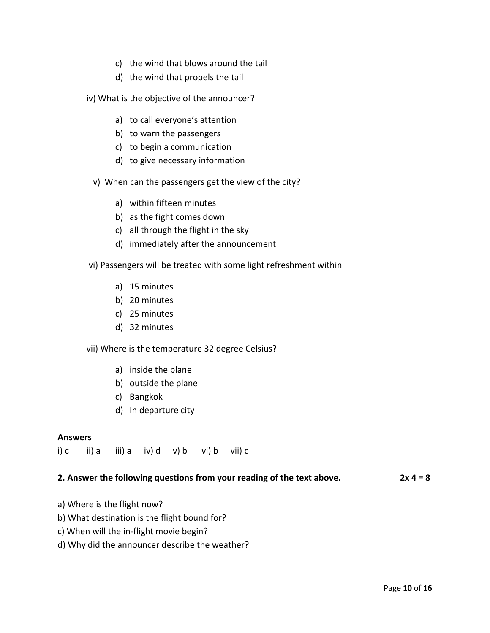- c) the wind that blows around the tail
- d) the wind that propels the tail
- iv) What is the objective of the announcer?
	- a) to call everyone's attention
	- b) to warn the passengers
	- c) to begin a communication
	- d) to give necessary information
	- v) When can the passengers get the view of the city?
		- a) within fifteen minutes
		- b) as the fight comes down
		- c) all through the flight in the sky
		- d) immediately after the announcement
- vi) Passengers will be treated with some light refreshment within
	- a) 15 minutes
	- b) 20 minutes
	- c) 25 minutes
	- d) 32 minutes

vii) Where is the temperature 32 degree Celsius?

- a) inside the plane
- b) outside the plane
- c) Bangkok
- d) In departure city

#### **Answers**

i) c ii) a iii) a iv) d v) b vi) b vii) c

#### **2. Answer the following questions from your reading of the text above. 2x 4 = 8**

- a) Where is the flight now?
- b) What destination is the flight bound for?
- c) When will the in-flight movie begin?
- d) Why did the announcer describe the weather?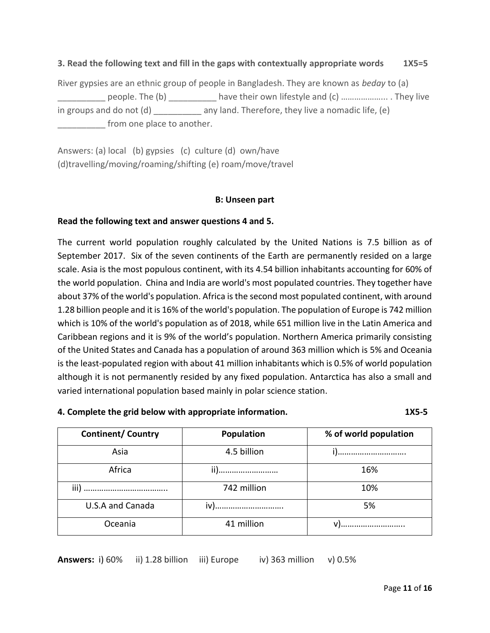## **3. Read the following text and fill in the gaps with contextually appropriate words 1X5=5**

River gypsies are an ethnic group of people in Bangladesh. They are known as *beday* to (a) people. The (b) \_\_\_\_\_\_\_\_\_\_\_ have their own lifestyle and (c) ……………………….. They live in groups and do not (d) any land. Therefore, they live a nomadic life, (e) \_\_\_\_\_\_\_\_\_\_ from one place to another.

Answers: (a) local (b) gypsies (c) culture (d) own/have (d)travelling/moving/roaming/shifting (e) roam/move/travel

### **B: Unseen part**

### **Read the following text and answer questions 4 and 5.**

The current world population roughly calculated by the United Nations is 7.5 billion as of September 2017. Six of the seven continents of the Earth are permanently resided on a large scale. Asia is the most populous continent, with its 4.54 billion inhabitants accounting for 60% of the world population. China and India are world's most populated countries. They together have about 37% of the world's population. Africa is the second most populated continent, with around 1.28 billion people and it is 16% of the world's population. The population of Europe is 742 million which is 10% of the world's population as of 2018, while 651 million live in the Latin America and Caribbean regions and it is 9% of the world's population. Northern America primarily consisting of the United States and Canada has a population of around 363 million which is 5% and Oceania is the least-populated region with about 41 million inhabitants which is 0.5% of world population although it is not permanently resided by any fixed population. Antarctica has also a small and varied international population based mainly in polar science station.

#### **4. Complete the grid below with appropriate information. 1X5-5**

| <b>Continent/ Country</b> | Population  | % of world population |  |
|---------------------------|-------------|-----------------------|--|
| Asia                      | 4.5 billion | 1)                    |  |
| Africa                    | ii)         | 16%                   |  |
|                           | 742 million | 10%                   |  |
| U.S.A and Canada          | iv)         | 5%                    |  |
| Oceania                   | 41 million  |                       |  |

**Answers:** i) 60% ii) 1.28 billion iii) Europe iv) 363 million v) 0.5%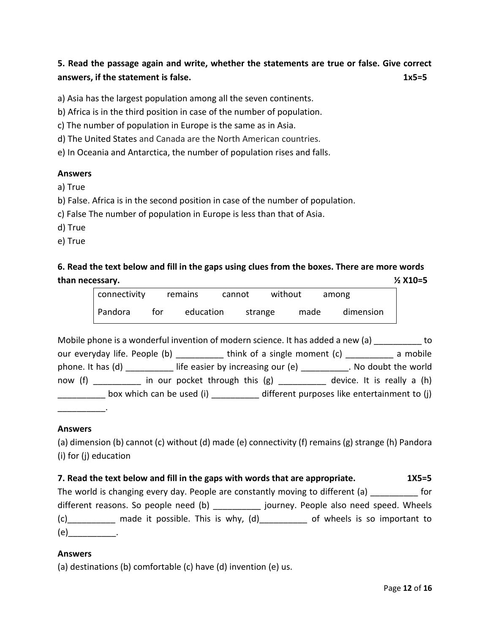# **5. Read the passage again and write, whether the statements are true or false. Give correct answers, if the statement is false.** 1x5=5

a) Asia has the largest population among all the seven continents.

b) Africa is in the third position in case of the number of population.

c) The number of population in Europe is the same as in Asia.

d) The United States and Canada are the North American countries.

e) In Oceania and Antarctica, the number of population rises and falls.

### **Answers**

a) True

b) False. Africa is in the second position in case of the number of population.

c) False The number of population in Europe is less than that of Asia.

d) True

e) True

**6. Read the text below and fill in the gaps using clues from the boxes. There are more words than necessary. ½ X10=5**

| connectivity |     | remains   | cannot | without |      | among |           |
|--------------|-----|-----------|--------|---------|------|-------|-----------|
| Pandora      | tor | education |        | strange | made |       | dimension |

|         | Mobile phone is a wonderful invention of modern science. It has added a new (a) |                                                                        | to |
|---------|---------------------------------------------------------------------------------|------------------------------------------------------------------------|----|
|         | our everyday life. People (b) by think of a single moment (c)                   | a mobile                                                               |    |
|         | phone. It has (d) life easier by increasing our (e)                             | . No doubt the world                                                   |    |
| now (f) | in our pocket through this (g) ________                                         | device. It is really a (h)                                             |    |
|         |                                                                                 | box which can be used (i) different purposes like entertainment to (j) |    |
|         |                                                                                 |                                                                        |    |

#### **Answers**

(a) dimension (b) cannot (c) without (d) made (e) connectivity (f) remains (g) strange (h) Pandora (i) for (j) education

## **7. Read the text below and fill in the gaps with words that are appropriate. 1X5=5**

The world is changing every day. People are constantly moving to different (a) for different reasons. So people need (b) and incorrey. People also need speed. Wheels (c)\_\_\_\_\_\_\_\_\_\_ made it possible. This is why, (d)\_\_\_\_\_\_\_\_\_\_ of wheels is so important to  $(e)$  \_\_\_\_\_\_\_\_\_\_.

#### **Answers**

(a) destinations (b) comfortable (c) have (d) invention (e) us.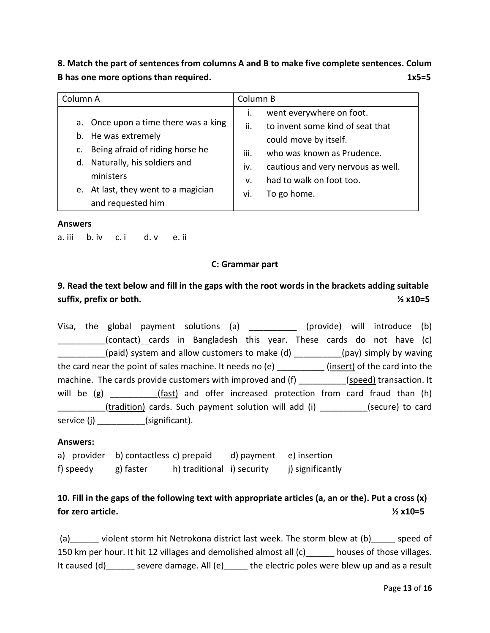**8. Match the part of sentences from columns A and B to make five complete sentences. Colum B** has one more options than required. **1x5=5** 

| Column A                                                                                                                                                                                                        | Column B                                                                                                                                                                                                                                      |  |  |
|-----------------------------------------------------------------------------------------------------------------------------------------------------------------------------------------------------------------|-----------------------------------------------------------------------------------------------------------------------------------------------------------------------------------------------------------------------------------------------|--|--|
| a. Once upon a time there was a king<br>b. He was extremely<br>Being afraid of riding horse he<br>C.<br>d. Naturally, his soldiers and<br>ministers<br>e. At last, they went to a magician<br>and requested him | went everywhere on foot.<br>i.<br>to invent some kind of seat that<br>ii.<br>could move by itself.<br>who was known as Prudence.<br>iii.<br>cautious and very nervous as well.<br>iv.<br>had to walk on foot too.<br>v.<br>To go home.<br>vi. |  |  |

#### **Answers**

a. iii b. iv c. i d. v e. ii

#### **C: Grammar part**

## **9. Read the text below and fill in the gaps with the root words in the brackets adding suitable suffix, prefix or both. ½ x10=5**

Visa, the global payment solutions (a) and (provide) will introduce (b) \_\_\_\_\_\_\_\_\_\_(contact) cards in Bangladesh this year. These cards do not have (c)  $_{\_\_\_p}$ (paid) system and allow customers to make (d)  $_{\_\_\_\_\_\_\_\_p}$  (pay) simply by waving the card near the point of sales machine. It needs no (e) \_\_\_\_\_\_\_\_\_\_ (insert) of the card into the machine. The cards provide customers with improved and (f)  $(speed)$  transaction. It will be  $(g)$  \_\_\_\_\_\_\_\_\_\_(fast) and offer increased protection from card fraud than  $(h)$ \_\_\_\_\_\_\_\_\_(tradition) cards. Such payment solution will add (i) \_\_\_\_\_\_\_\_\_(secure) to card service (j) \_\_\_\_\_\_\_\_\_\_\_(significant).

#### **Answers:**

|           | a) provider b) contactless c) prepaid |                            | d) payment e) insertion |                  |
|-----------|---------------------------------------|----------------------------|-------------------------|------------------|
| f) speedy | g) faster                             | h) traditional i) security |                         | j) significantly |

## **10. Fill in the gaps of the following text with appropriate articles (a, an or the). Put a cross (x) for zero article. ½ x10=5**

(a)\_\_\_\_\_\_ violent storm hit Netrokona district last week. The storm blew at (b)\_\_\_\_\_ speed of 150 km per hour. It hit 12 villages and demolished almost all (c) \_\_\_\_\_ houses of those villages. It caused (d)\_\_\_\_\_\_ severe damage. All (e)\_\_\_\_\_ the electric poles were blew up and as a result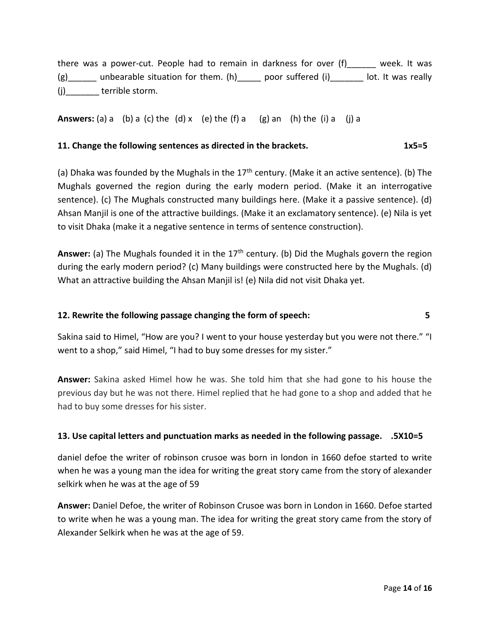there was a power-cut. People had to remain in darkness for over (f)\_\_\_\_\_\_ week. It was  $(g)$  unbearable situation for them. (h) poor suffered (i) a lot. It was really (i) terrible storm.

**Answers:** (a) a (b) a (c) the (d) x (e) the (f) a (g) an (h) the (i) a (j) a

## **11. Change the following sentences as directed in the brackets. 1x5=5**

(a) Dhaka was founded by the Mughals in the  $17<sup>th</sup>$  century. (Make it an active sentence). (b) The Mughals governed the region during the early modern period. (Make it an interrogative sentence). (c) The Mughals constructed many buildings here. (Make it a passive sentence). (d) Ahsan Manjil is one of the attractive buildings. (Make it an exclamatory sentence). (e) Nila is yet to visit Dhaka (make it a negative sentence in terms of sentence construction).

Answer: (a) The Mughals founded it in the 17<sup>th</sup> century. (b) Did the Mughals govern the region during the early modern period? (c) Many buildings were constructed here by the Mughals. (d) What an attractive building the Ahsan Manjil is! (e) Nila did not visit Dhaka yet.

## **12. Rewrite the following passage changing the form of speech: 5**

Sakina said to Himel, "How are you? I went to your house yesterday but you were not there." "I went to a shop," said Himel, "I had to buy some dresses for my sister."

**Answer:** Sakina asked Himel how he was. She told him that she had gone to his house the previous day but he was not there. Himel replied that he had gone to a shop and added that he had to buy some dresses for his sister.

## **13. Use capital letters and punctuation marks as needed in the following passage. .5X10=5**

daniel defoe the writer of robinson crusoe was born in london in 1660 defoe started to write when he was a young man the idea for writing the great story came from the story of alexander selkirk when he was at the age of 59

**Answer:** Daniel Defoe, the writer of Robinson Crusoe was born in London in 1660. Defoe started to write when he was a young man. The idea for writing the great story came from the story of Alexander Selkirk when he was at the age of 59.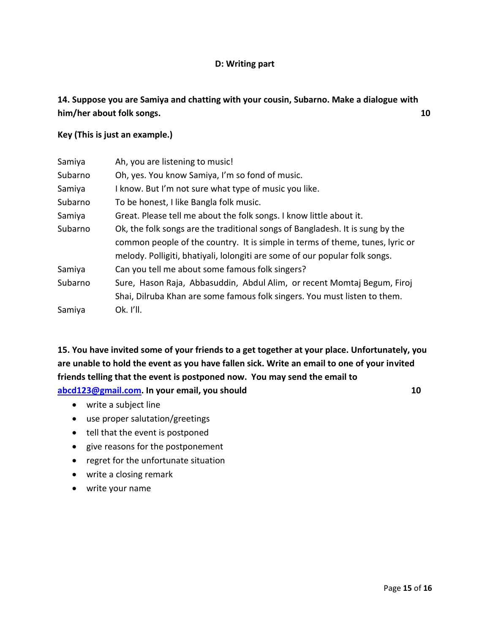## **D: Writing part**

## **14. Suppose you are Samiya and chatting with your cousin, Subarno. Make a dialogue with him/her about folk songs. 10**

### **Key (This is just an example.)**

| Samiya  | Ah, you are listening to music!                                               |
|---------|-------------------------------------------------------------------------------|
| Subarno | Oh, yes. You know Samiya, I'm so fond of music.                               |
| Samiya  | I know. But I'm not sure what type of music you like.                         |
| Subarno | To be honest, I like Bangla folk music.                                       |
| Samiya  | Great. Please tell me about the folk songs. I know little about it.           |
| Subarno | Ok, the folk songs are the traditional songs of Bangladesh. It is sung by the |
|         | common people of the country. It is simple in terms of theme, tunes, lyric or |
|         | melody. Polligiti, bhatiyali, lolongiti are some of our popular folk songs.   |
| Samiya  | Can you tell me about some famous folk singers?                               |
| Subarno | Sure, Hason Raja, Abbasuddin, Abdul Alim, or recent Momtaj Begum, Firoj       |
|         | Shai, Dilruba Khan are some famous folk singers. You must listen to them.     |
| Samiya  | Ok. I'll.                                                                     |

**15. You have invited some of your friends to a get together at your place. Unfortunately, you are unable to hold the event as you have fallen sick. Write an email to one of your invited friends telling that the event is postponed now. You may send the email to [abcd123@gmail.com.](mailto:abcd123@gmail.com) In your email, you should 10**

- write a subject line
- use proper salutation/greetings
- tell that the event is postponed
- give reasons for the postponement
- regret for the unfortunate situation
- write a closing remark
- write your name